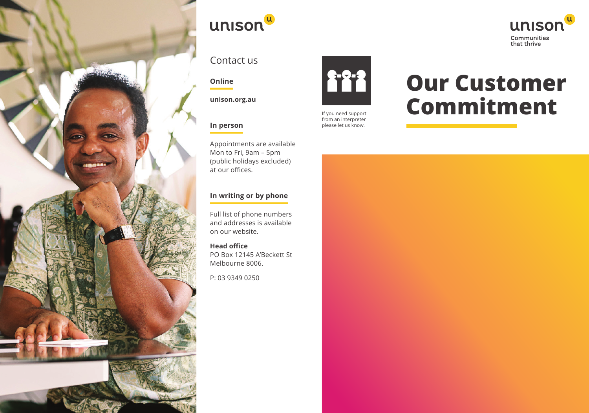



### Contact us

#### **Online**

**unison.org.au**

#### **In person**

Appointments are available Mon to Fri, 9am – 5pm (public holidays excluded) at our offices.

#### **In writing or by phone**

Full list of phone numbers and addresses is available on our website.

**Head office** PO Box 12145 A'Beckett St Melbourne 8006.

P: 03 9349 0250



If you need support from an interpreter please let us know.

# **Our Customer Commitment**

unison

Communities<br>that thrive